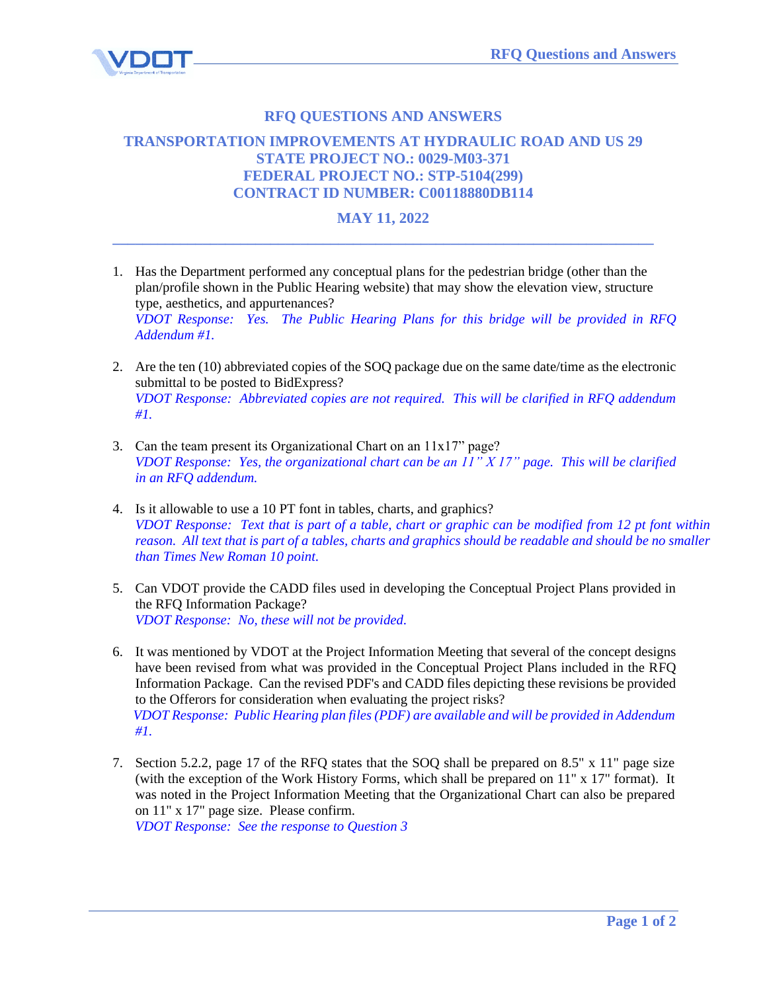

## **RFQ QUESTIONS AND ANSWERS**

## **TRANSPORTATION IMPROVEMENTS AT HYDRAULIC ROAD AND US 29 STATE PROJECT NO.: 0029-M03-371 FEDERAL PROJECT NO.: STP-5104(299) CONTRACT ID NUMBER: C00118880DB114**

## **MAY 11, 2022 \_\_\_\_\_\_\_\_\_\_\_\_\_\_\_\_\_\_\_\_\_\_\_\_\_\_\_\_\_\_\_\_\_\_\_\_\_\_\_\_\_\_\_\_\_\_\_\_\_\_\_\_\_\_\_\_\_\_\_\_\_\_\_\_\_\_\_\_\_\_\_\_**

- 1. Has the Department performed any conceptual plans for the pedestrian bridge (other than the plan/profile shown in the Public Hearing website) that may show the elevation view, structure type, aesthetics, and appurtenances? *VDOT Response: Yes. The Public Hearing Plans for this bridge will be provided in RFQ Addendum #1.*
- 2. Are the ten (10) abbreviated copies of the SOQ package due on the same date/time as the electronic submittal to be posted to BidExpress? *VDOT Response: Abbreviated copies are not required. This will be clarified in RFQ addendum #1.*
- 3. Can the team present its Organizational Chart on an 11x17" page? *VDOT Response: Yes, the organizational chart can be an 11" X 17" page. This will be clarified in an RFQ addendum.*
- 4. Is it allowable to use a 10 PT font in tables, charts, and graphics? *VDOT Response: Text that is part of a table, chart or graphic can be modified from 12 pt font within reason. All text that is part of a tables, charts and graphics should be readable and should be no smaller than Times New Roman 10 point.*
- 5. Can VDOT provide the CADD files used in developing the Conceptual Project Plans provided in the RFQ Information Package? *VDOT Response: No, these will not be provided.*
- 6. It was mentioned by VDOT at the Project Information Meeting that several of the concept designs have been revised from what was provided in the Conceptual Project Plans included in the RFQ Information Package. Can the revised PDF's and CADD files depicting these revisions be provided to the Offerors for consideration when evaluating the project risks?  *VDOT Response: Public Hearing plan files (PDF) are available and will be provided in Addendum #1.*
- 7. Section 5.2.2, page 17 of the RFQ states that the SOQ shall be prepared on 8.5" x 11" page size (with the exception of the Work History Forms, which shall be prepared on 11" x 17" format). It was noted in the Project Information Meeting that the Organizational Chart can also be prepared on 11" x 17" page size. Please confirm. *VDOT Response: See the response to Question 3*